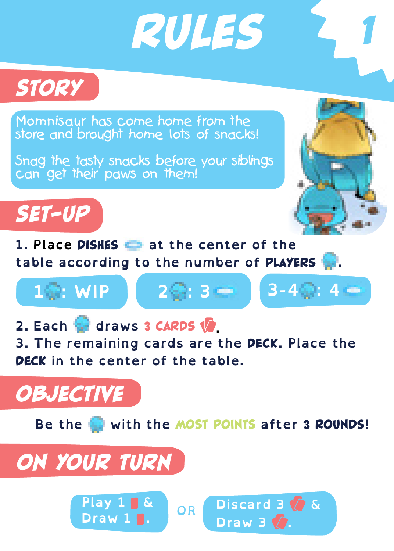*Rules 1*



Momnisaur has come home from the store and brought home lots of snacks!

Snag the tasty snacks before your siblings can get their paws on them!



**1. Place** Dishes **at the center of the table according to the number of** Players **.**



**2. Each draws** 3 Cards **. 3. The remaining cards are the** DECK**. Place the**  DECK **in the center of the table.**

## *Objective*



# *on Your turn*

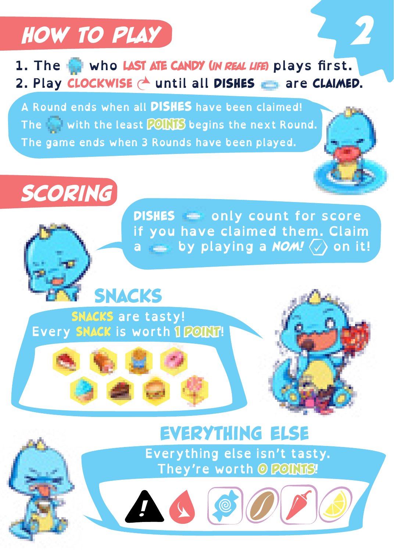



**A Round ends when all** DISHES **have been claimed! The with the least** POINTS **begins the next Round. The game ends when 3 Rounds have been played.**



**DISHES only count for score**<br>if you have claimed them. Claim **if you have claimed them. Claim a by playing a** *NOM!* **on it!**



*!*



# **EVERYTHING ELSE**<br>Everything else isn't tasty.

**Everything else isn't tasty. They're worth** 0 Points!

NO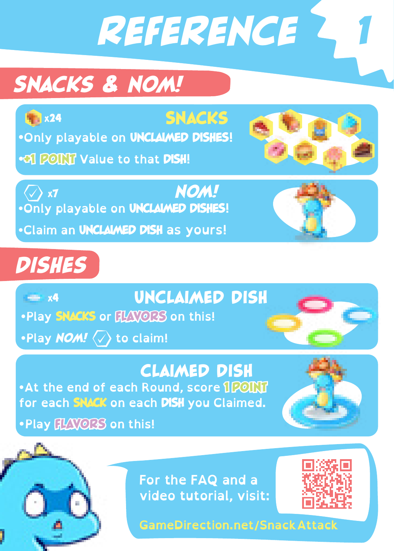*Reference 1*

# *Snacks & NOM!*

 $x24$ 

**SNACKS** 

**•Only playable on** UNCLAIMED DISHES**!**

**••• 1 POINT Value to that DISH!** 

*NOM!* **•Only playable on** UNCLAIMED DISHES**!** (7) ×র

**•Claim an** UNCLAIMED DISH **as yours!**



# *Dishes*

 $x=1/4$ 

Unclaimed Dish

**•Play** SNACKS **or** FLAVORS **on this!**

**•Play** *NOM!* **to claim!**

### claimed Dish

**•At the end of each Round, score 1 POINT for each** SNACK **on each** DISH **you Claimed.**

**•Play** FLAVORS **on this!**

# **For the FAQ and a**

**GameDirection.net/SnackAttack**